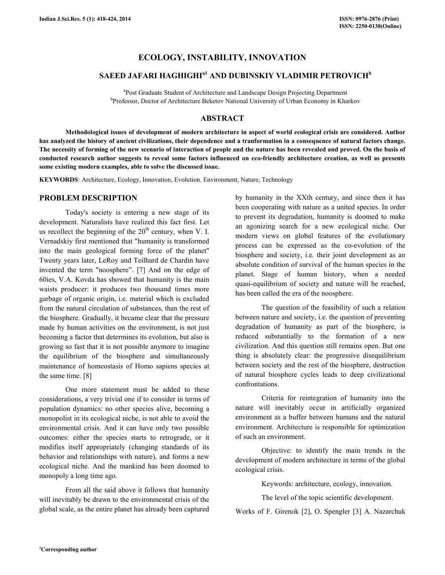## ECOLOGY, INSTABILITY, INNOVATION

# SAEED JAFARI HAGHIGHI<sup>a1</sup> AND DUBINSKIY VLADIMIR PETROVICH<sup>b</sup>

<sup>a</sup>Post Graduate Student of Architecture and Landscape Design Projecting Department b Professor, Doctor of Architecture Beketov National University of Urban Economy in Kharkov

## ABSTRACT

 Methodological issues of development of modern architecture in aspect of world ecological crisis are considered. Author has analyzed the history of ancient civilizations, their dependence and a tranformation in a consequence of natural factors change. The necessity of forming of the new scenario of interaction of people and the nature has been revealed and proved. On the basis of conducted research author suggests to reveal some factors influenced on eco-friendly architecture creation, as well as presents some existing modern examples, able to solve the discussed issue.

KEYWORDS: Architecture, Ecology, Innovation, Evolution. Environment, Nature, Technology

### PROBLEM DESCRIPTION

 Today's society is entering a new stage of its development. Naturalists have realized this fact first. Let us recollect the beginning of the  $20<sup>th</sup>$  century, when V. I. Vernadskiy first mentioned that "humanity is transformed into the main geological forming force of the planet" Twenty years later, LeRoy and Teilhard de Chardin have invented the term "noosphere". [7] And on the edge of 60ies, V.A. Kovda has showed that humanity is the main waists producer: it produces two thousand times more garbage of organic origin, i.e. material which is excluded from the natural circulation of substances, than the rest of the biosphere. Gradually, it became clear that the pressure made by human activities on the environment, is not just becoming a factor that determines its evolution, but also is growing so fast that it is not possible anymore to imagine the equilibrium of the biosphere and simultaneously maintenance of homeostasis of Homo sapiens species at the same time. [8]

One more statement must be added to these considerations, a very trivial one if to consider in terms of population dynamics: no other species alive, becoming a monopolist in its ecological niche, is not able to avoid the environmental crisis. And it can have only two possible outcomes: either the species starts to retrograde, or it modifies itself appropriately (changing standards of its behavior and relationships with nature), and forms a new ecological niche. And the mankind has been doomed to monopoly a long time ago.

From all the said above it follows that humanity will inevitably be drawn to the environmental crisis of the global scale, as the entire planet has already been captured by humanity in the XXth century, and since then it has been cooperating with nature as a united species. In order to prevent its degradation, humanity is doomed to make an agonizing search for a new ecological niche. Our modern views on global features of the evolutionary process can be expressed as the co-evolution of the biosphere and society, i.e. their joint development as an absolute condition of survival of the human species in the planet. Stage of human history, when a needed quasi-equilibrium of society and nature will be reached, has been called the era of the noosphere.

The question of the feasibility of such a relation between nature and society, i.e. the question of preventing degradation of humanity as part of the biosphere, is reduced substantially to the formation of a new civilization. And this question still remains open. But one thing is absolutely clear: the progressive disequilibrium between society and the rest of the biosphere, destruction of natural biosphere cycles leads to deep civilizational confrontations.

Criteria for reintegration of humanity into the nature will inevitably occur in artificially organized environment as a buffer between humans and the natural environment. Architecture is responsible for optimization of such an environment.

Objective: to identify the main trends in the development of modern architecture in terms of the global ecological crisis.

Keywords: architecture, ecology, innovation.

The level of the topic scientific development.

Works of F. Girenok [2], O. Spengler [3] A. Nazarchuk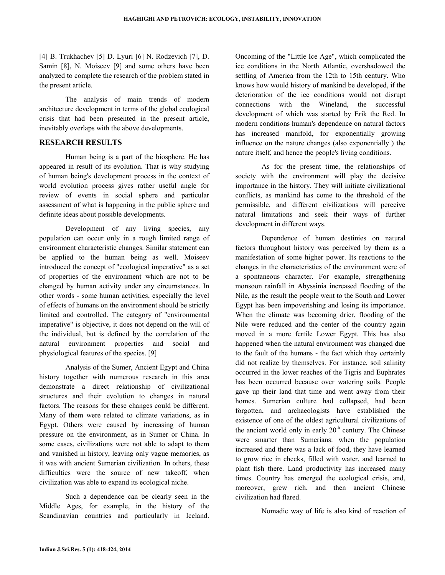[4] B. Trukhachev [5] D. Lyuri [6] N. Rodzevich [7], D. Samin [8], N. Moiseev [9] and some others have been analyzed to complete the research of the problem stated in the present article.

 The analysis of main trends of modern architecture development in terms of the global ecological crisis that had been presented in the present article, inevitably overlaps with the above developments.

## RESEARCH RESULTS

Human being is a part of the biosphere. He has appeared in result of its evolution. That is why studying of human being's development process in the context of world evolution process gives rather useful angle for review of events in social sphere and particular assessment of what is happening in the public sphere and definite ideas about possible developments.

Development of any living species, any population can occur only in a rough limited range of environment characteristic changes. Similar statement can be applied to the human being as well. Moiseev introduced the concept of "ecological imperative" as a set of properties of the environment which are not to be changed by human activity under any circumstances. In other words - some human activities, especially the level of effects of humans on the environment should be strictly limited and controlled. The category of "environmental imperative" is objective, it does not depend on the will of the individual, but is defined by the correlation of the natural environment properties and social and physiological features of the species. [9]

Analysis of the Sumer, Ancient Egypt and China history together with numerous research in this area demonstrate a direct relationship of civilizational structures and their evolution to changes in natural factors. The reasons for these changes could be different. Many of them were related to climate variations, as in Egypt. Others were caused by increasing of human pressure on the environment, as in Sumer or China. In some cases, civilizations were not able to adapt to them and vanished in history, leaving only vague memories, as it was with ancient Sumerian civilization. In others, these difficulties were the source of new takeoff, when civilization was able to expand its ecological niche.

Such a dependence can be clearly seen in the Middle Ages, for example, in the history of the Scandinavian countries and particularly in Iceland. Oncoming of the "Little Ice Age", which complicated the ice conditions in the North Atlantic, overshadowed the settling of America from the 12th to 15th century. Who knows how would history of mankind be developed, if the deterioration of the ice conditions would not disrupt connections with the Wineland, the successful development of which was started by Erik the Red. In modern conditions human's dependence on natural factors has increased manifold, for exponentially growing influence on the nature changes (also exponentially ) the nature itself, and hence the people's living conditions.

As for the present time, the relationships of society with the environment will play the decisive importance in the history. They will initiate civilizational conflicts, as mankind has come to the threshold of the permissible, and different civilizations will perceive natural limitations and seek their ways of further development in different ways.

Dependence of human destinies on natural factors throughout history was perceived by them as a manifestation of some higher power. Its reactions to the changes in the characteristics of the environment were of a spontaneous character. For example, strengthening monsoon rainfall in Abyssinia increased flooding of the Nile, as the result the people went to the South and Lower Egypt has been impoverishing and losing its importance. When the climate was becoming drier, flooding of the Nile were reduced and the center of the country again moved in a more fertile Lower Egypt. This has also happened when the natural environment was changed due to the fault of the humans - the fact which they certainly did not realize by themselves. For instance, soil salinity occurred in the lower reaches of the Tigris and Euphrates has been occurred because over watering soils. People gave up their land that time and went away from their homes. Sumerian culture had collapsed, had been forgotten, and archaeologists have established the existence of one of the oldest agricultural civilizations of the ancient world only in early  $20<sup>th</sup>$  century. The Chinese were smarter than Sumerians: when the population increased and there was a lack of food, they have learned to grow rice in checks, filled with water, and learned to plant fish there. Land productivity has increased many times. Country has emerged the ecological crisis, and, moreover, grew rich, and then ancient Chinese civilization had flared.

Nomadic way of life is also kind of reaction of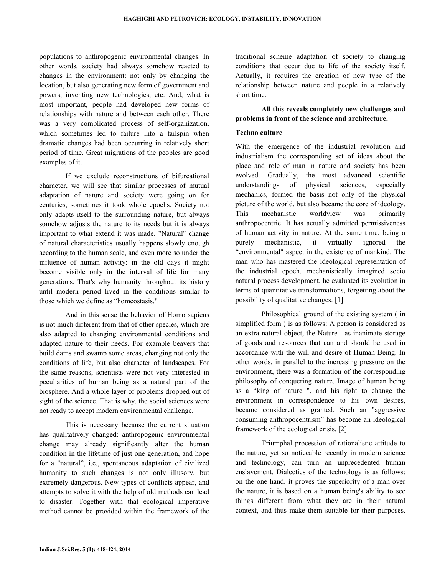populations to anthropogenic environmental changes. In other words, society had always somehow reacted to changes in the environment: not only by changing the location, but also generating new form of government and powers, inventing new technologies, etc. And, what is most important, people had developed new forms of relationships with nature and between each other. There was a very complicated process of self-organization, which sometimes led to failure into a tailspin when dramatic changes had been occurring in relatively short period of time. Great migrations of the peoples are good examples of it.

If we exclude reconstructions of bifurcational character, we will see that similar processes of mutual adaptation of nature and society were going on for centuries, sometimes it took whole epochs. Society not only adapts itself to the surrounding nature, but always somehow adjusts the nature to its needs but it is always important to what extend it was made. "Natural" change of natural characteristics usually happens slowly enough according to the human scale, and even more so under the influence of human activity: in the old days it might become visible only in the interval of life for many generations. That's why humanity throughout its history until modern period lived in the conditions similar to those which we define as "homeostasis."

 And in this sense the behavior of Homo sapiens is not much different from that of other species, which are also adapted to changing environmental conditions and adapted nature to their needs. For example beavers that build dams and swamp some areas, changing not only the conditions of life, but also character of landscapes. For the same reasons, scientists were not very interested in peculiarities of human being as a natural part of the biosphere. And a whole layer of problems dropped out of sight of the science. That is why, the social sciences were not ready to accept modern environmental challenge.

This is necessary because the current situation has qualitatively changed: anthropogenic environmental change may already significantly alter the human condition in the lifetime of just one generation, and hope for a "natural", i.e., spontaneous adaptation of civilized humanity to such changes is not only illusory, but extremely dangerous. New types of conflicts appear, and attempts to solve it with the help of old methods can lead to disaster. Together with that ecological imperative method cannot be provided within the framework of the traditional scheme adaptation of society to changing conditions that occur due to life of the society itself. Actually, it requires the creation of new type of the relationship between nature and people in a relatively short time.

## All this reveals completely new challenges and problems in front of the science and architecture.

## Techno culture

With the emergence of the industrial revolution and industrialism the corresponding set of ideas about the place and role of man in nature and society has been evolved. Gradually, the most advanced scientific understandings of physical sciences, especially mechanics, formed the basis not only of the physical picture of the world, but also became the core of ideology. This mechanistic worldview was primarily anthropocentric. It has actually admitted permissiveness of human activity in nature. At the same time, being a purely mechanistic, it virtually ignored the "environmental" aspect in the existence of mankind. The man who has mastered the ideological representation of the industrial epoch, mechanistically imagined socio natural process development, he evaluated its evolution in terms of quantitative transformations, forgetting about the possibility of qualitative changes. [1]

Philosophical ground of the existing system ( in simplified form ) is as follows: A person is considered as an extra natural object, the Nature - as inanimate storage of goods and resources that can and should be used in accordance with the will and desire of Human Being. In other words, in parallel to the increasing pressure on the environment, there was a formation of the corresponding philosophy of conquering nature. Image of human being as a "king of nature ", and his right to change the environment in correspondence to his own desires, became considered as granted. Such an "aggressive consuming anthropocentrism" has become an ideological framework of the ecological crisis. [2]

Triumphal procession of rationalistic attitude to the nature, yet so noticeable recently in modern science and technology, can turn an unprecedented human enslavement. Dialectics of the technology is as follows: on the one hand, it proves the superiority of a man over the nature, it is based on a human being's ability to see things different from what they are in their natural context, and thus make them suitable for their purposes.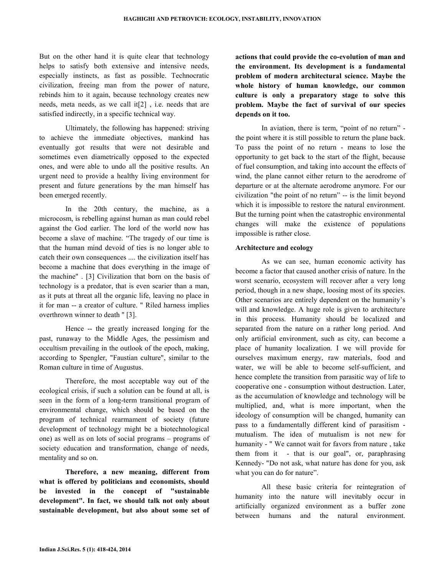But on the other hand it is quite clear that technology helps to satisfy both extensive and intensive needs, especially instincts, as fast as possible. Technocratic civilization, freeing man from the power of nature, rebinds him to it again, because technology creates new needs, meta needs, as we call it[2] , i.e. needs that are satisfied indirectly, in a specific technical way.

Ultimately, the following has happened: striving to achieve the immediate objectives, mankind has eventually got results that were not desirable and sometimes even diametrically opposed to the expected ones, and were able to undo all the positive results. An urgent need to provide a healthy living environment for present and future generations by the man himself has been emerged recently.

In the 20th century, the machine, as a microcosm, is rebelling against human as man could rebel against the God earlier. The lord of the world now has become a slave of machine. "The tragedy of our time is that the human mind devoid of ties is no longer able to catch their own consequences .... the civilization itself has become a machine that does everything in the image of the machine" . [3] Civilization that born on the basis of technology is a predator, that is even scarier than a man, as it puts at threat all the organic life, leaving no place in it for man -- a creator of culture. " Riled harness implies overthrown winner to death " [3].

Hence -- the greatly increased longing for the past, runaway to the Middle Ages, the pessimism and occultism prevailing in the outlook of the epoch, making, according to Spengler, "Faustian culture", similar to the Roman culture in time of Augustus.

Therefore, the most acceptable way out of the ecological crisis, if such a solution can be found at all, is seen in the form of a long-term transitional program of environmental change, which should be based on the program of technical rearmament of society (future development of technology might be a biotechnological one) as well as on lots of social programs – programs of society education and transformation, change of needs, mentality and so on.

Therefore, a new meaning, different from what is offered by politicians and economists, should be invested in the concept of "sustainable development". In fact, we should talk not only about sustainable development, but also about some set of actions that could provide the co-evolution of man and the environment. Its development is a fundamental problem of modern architectural science. Maybe the whole history of human knowledge, our common culture is only a preparatory stage to solve this problem. Maybe the fact of survival of our species depends on it too.

In aviation, there is term, "point of no return" the point where it is still possible to return the plane back. To pass the point of no return - means to lose the opportunity to get back to the start of the flight, because of fuel consumption, and taking into account the effects of wind, the plane cannot either return to the aerodrome of departure or at the alternate aerodrome anymore. For our civilization "the point of no return" -- is the limit beyond which it is impossible to restore the natural environment. But the turning point when the catastrophic environmental changes will make the existence of populations impossible is rather close.

### Architecture and ecology

As we can see, human economic activity has become a factor that caused another crisis of nature. In the worst scenario, ecosystem will recover after a very long period, though in a new shape, loosing most of its species. Other scenarios are entirely dependent on the humanity's will and knowledge. A huge role is given to architecture in this process. Humanity should be localized and separated from the nature on a rather long period. And only artificial environment, such as city, can become a place of humanity localization. I we will provide for ourselves maximum energy, raw materials, food and water, we will be able to become self-sufficient, and hence complete the transition from parasitic way of life to cooperative one - consumption without destruction. Later, as the accumulation of knowledge and technology will be multiplied, and, what is more important, when the ideology of consumption will be changed, humanity can pass to a fundamentally different kind of parasitism mutualism. The idea of mutualism is not new for humanity - " We cannot wait for favors from nature , take them from it - that is our goal", or, paraphrasing Kennedy- "Do not ask, what nature has done for you, ask what you can do for nature".

All these basic criteria for reintegration of humanity into the nature will inevitably occur in artificially organized environment as a buffer zone between humans and the natural environment.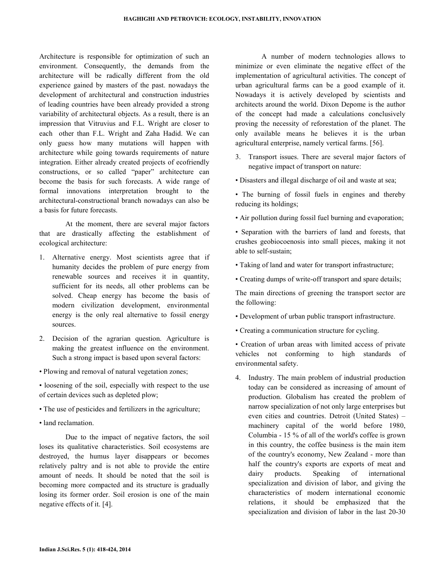Architecture is responsible for optimization of such an environment. Consequently, the demands from the architecture will be radically different from the old experience gained by masters of the past. nowadays the development of architectural and construction industries of leading countries have been already provided a strong variability of architectural objects. As a result, there is an impression that Vitruvius and F.L. Wright are closer to each other than F.L. Wright and Zaha Hadid. We can only guess how many mutations will happen with architecture while going towards requirements of nature integration. Either already created projects of ecofriendly constructions, or so called "paper" architecture can become the basis for such forecasts. A wide range of formal innovations interpretation brought to the architectural-constructional branch nowadays can also be a basis for future forecasts.

At the moment, there are several major factors that are drastically affecting the establishment of ecological architecture:

- 1. Alternative energy. Most scientists agree that if humanity decides the problem of pure energy from renewable sources and receives it in quantity, sufficient for its needs, all other problems can be solved. Cheap energy has become the basis of modern civilization development, environmental energy is the only real alternative to fossil energy sources.
- 2. Decision of the agrarian question. Agriculture is making the greatest influence on the environment. Such a strong impact is based upon several factors:
- Plowing and removal of natural vegetation zones;

• loosening of the soil, especially with respect to the use of certain devices such as depleted plow;

- The use of pesticides and fertilizers in the agriculture;
- land reclamation.

Due to the impact of negative factors, the soil loses its qualitative characteristics. Soil ecosystems are destroyed, the humus layer disappears or becomes relatively paltry and is not able to provide the entire amount of needs. It should be noted that the soil is becoming more compacted and its structure is gradually losing its former order. Soil erosion is one of the main negative effects of it. [4].

A number of modern technologies allows to minimize or even eliminate the negative effect of the implementation of agricultural activities. The concept of urban agricultural farms can be a good example of it. Nowadays it is actively developed by scientists and architects around the world. Dixon Depome is the author of the concept had made a calculations conclusively proving the necessity of reforestation of the planet. The only available means he believes it is the urban agricultural enterprise, namely vertical farms. [56].

- 3. Transport issues. There are several major factors of negative impact of transport on nature:
- Disasters and illegal discharge of oil and waste at sea;
- The burning of fossil fuels in engines and thereby reducing its holdings;
- Air pollution during fossil fuel burning and evaporation;
- Separation with the barriers of land and forests, that crushes geobiocoenosis into small pieces, making it not able to self-sustain;
- Taking of land and water for transport infrastructure;
- Creating dumps of write-off transport and spare details;

The main directions of greening the transport sector are the following:

- Development of urban public transport infrastructure.
- Creating a communication structure for cycling.

• Creation of urban areas with limited access of private vehicles not conforming to high standards of environmental safety.

4. Industry. The main problem of industrial production today can be considered as increasing of amount of production. Globalism has created the problem of narrow specialization of not only large enterprises but even cities and countries. Detroit (United States) – machinery capital of the world before 1980, Columbia - 15 % of all of the world's coffee is grown in this country, the coffee business is the main item of the country's economy, New Zealand - more than half the country's exports are exports of meat and dairy products. Speaking of international specialization and division of labor, and giving the characteristics of modern international economic relations, it should be emphasized that the specialization and division of labor in the last 20-30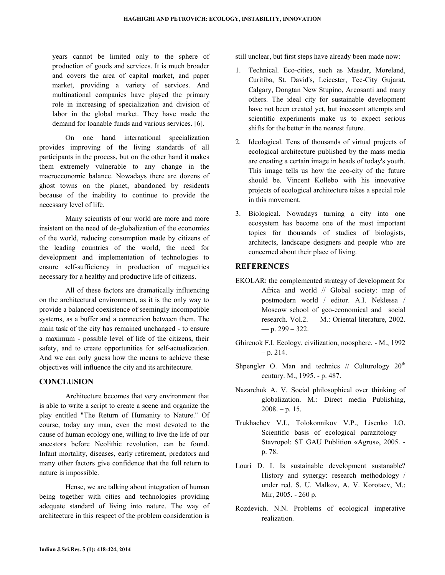years cannot be limited only to the sphere of production of goods and services. It is much broader and covers the area of capital market, and paper market, providing a variety of services. And multinational companies have played the primary role in increasing of specialization and division of labor in the global market. They have made the demand for loanable funds and various services. [6].

 On one hand international specialization provides improving of the living standards of all participants in the process, but on the other hand it makes them extremely vulnerable to any change in the macroeconomic balance. Nowadays there are dozens of ghost towns on the planet, abandoned by residents because of the inability to continue to provide the necessary level of life.

 Many scientists of our world are more and more insistent on the need of de-globalization of the economies of the world, reducing consumption made by citizens of the leading countries of the world, the need for development and implementation of technologies to ensure self-sufficiency in production of megacities necessary for a healthy and productive life of citizens.

 All of these factors are dramatically influencing on the architectural environment, as it is the only way to provide a balanced coexistence of seemingly incompatible systems, as a buffer and a connection between them. The main task of the city has remained unchanged - to ensure a maximum - possible level of life of the citizens, their safety, and to create opportunities for self-actualization. And we can only guess how the means to achieve these objectives will influence the city and its architecture.

## **CONCLUSION**

 Architecture becomes that very environment that is able to write a script to create a scene and organize the play entitled "The Return of Humanity to Nature." Of course, today any man, even the most devoted to the cause of human ecology one, willing to live the life of our ancestors before Neolithic revolution, can be found. Infant mortality, diseases, early retirement, predators and many other factors give confidence that the full return to nature is impossible.

 Hense, we are talking about integration of human being together with cities and technologies providing adequate standard of living into nature. The way of architecture in this respect of the problem consideration is

still unclear, but first steps have already been made now:

- 1. Technical. Eco-cities, such as Masdar, Moreland, Curitiba, St. David's, Leicester, Tec-City Gujarat, Calgary, Dongtan New Stupino, Arcosanti and many others. The ideal city for sustainable development have not been created yet, but incessant attempts and scientific experiments make us to expect serious shifts for the better in the nearest future.
- 2. Ideological. Tens of thousands of virtual projects of ecological architecture published by the mass media are creating a certain image in heads of today's youth. This image tells us how the eco-city of the future should be. Vincent Kollebo with his innovative projects of ecological architecture takes a special role in this movement.
- 3. Biological. Nowadays turning a city into one ecosystem has become one of the most important topics for thousands of studies of biologists, architects, landscape designers and people who are concerned about their place of living.

## **REFERENCES**

- EKOLAR: the complemented strategy of development for Africa and world // Global society: map of postmodern world / editor. A.I. Neklessa / Moscow school of geo-economical and social research. Vol.2. — М.: Oriental literature, 2002.  $-$  p. 299 – 322.
- Ghirenok F.I. Ecology, civilization, noosphere. М., 1992  $-$  p. 214.
- Shpengler O. Man and technics  $//$  Culturology  $20<sup>th</sup>$ century. М., 1995. - p. 487.
- Nazarchuk A. V. Social philosophical over thinking of globalization. М.: Direct media Publishing,  $2008. - p. 15.$
- Trukhachev V.I., Tolokonnikov V.P., Lisenko I.О. Scientific basis of ecological parazitology – Stavropol: ST GAU Publition «Agrus», 2005. p. 78.
- Louri D. I. Is sustainable development sustanable? History and synergy: research methodology / under red. S. U. Malkov, A. V. Korotaev, М.: Mir, 2005. - 260 p.
- Rozdevich. N.N. Problems of ecological imperative realization.